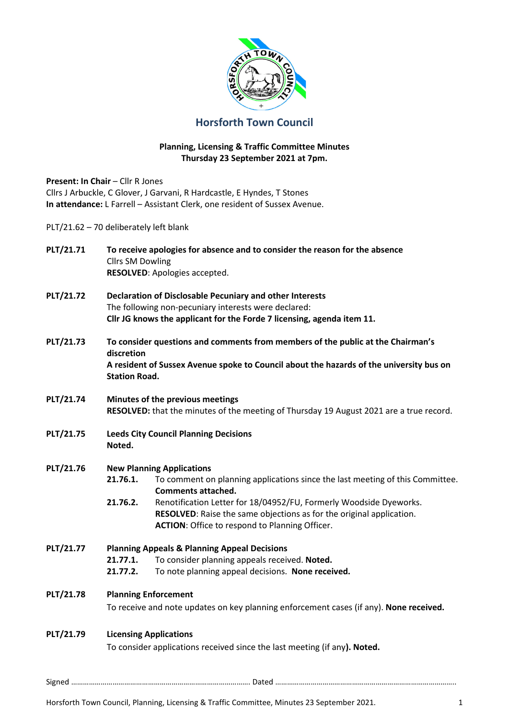

## **Horsforth Town Council**

## **Planning, Licensing & Traffic Committee Minutes Thursday 23 September 2021 at 7pm.**

| Present: In Chair - Cllr R Jones       |                                                                                                                                                                                                                  | Cllrs J Arbuckle, C Glover, J Garvani, R Hardcastle, E Hyndes, T Stones<br>In attendance: L Farrell - Assistant Clerk, one resident of Sussex Avenue.                                               |  |  |  |
|----------------------------------------|------------------------------------------------------------------------------------------------------------------------------------------------------------------------------------------------------------------|-----------------------------------------------------------------------------------------------------------------------------------------------------------------------------------------------------|--|--|--|
| PLT/21.62 - 70 deliberately left blank |                                                                                                                                                                                                                  |                                                                                                                                                                                                     |  |  |  |
| <b>PLT/21.71</b>                       | To receive apologies for absence and to consider the reason for the absence<br><b>Cllrs SM Dowling</b><br>RESOLVED: Apologies accepted.                                                                          |                                                                                                                                                                                                     |  |  |  |
| <b>PLT/21.72</b>                       | Declaration of Disclosable Pecuniary and other Interests<br>The following non-pecuniary interests were declared:<br>Cllr JG knows the applicant for the Forde 7 licensing, agenda item 11.                       |                                                                                                                                                                                                     |  |  |  |
| <b>PLT/21.73</b>                       | To consider questions and comments from members of the public at the Chairman's<br>discretion<br>A resident of Sussex Avenue spoke to Council about the hazards of the university bus on<br><b>Station Road.</b> |                                                                                                                                                                                                     |  |  |  |
| <b>PLT/21.74</b>                       | Minutes of the previous meetings<br>RESOLVED: that the minutes of the meeting of Thursday 19 August 2021 are a true record.                                                                                      |                                                                                                                                                                                                     |  |  |  |
| <b>PLT/21.75</b>                       | <b>Leeds City Council Planning Decisions</b><br>Noted.                                                                                                                                                           |                                                                                                                                                                                                     |  |  |  |
| <b>PLT/21.76</b>                       | <b>New Planning Applications</b>                                                                                                                                                                                 |                                                                                                                                                                                                     |  |  |  |
|                                        | 21.76.1.                                                                                                                                                                                                         | To comment on planning applications since the last meeting of this Committee.<br><b>Comments attached.</b>                                                                                          |  |  |  |
|                                        | 21.76.2.                                                                                                                                                                                                         | Renotification Letter for 18/04952/FU, Formerly Woodside Dyeworks.<br>RESOLVED: Raise the same objections as for the original application.<br><b>ACTION:</b> Office to respond to Planning Officer. |  |  |  |
| PLT/21.77                              | 21.77.2.                                                                                                                                                                                                         | <b>Planning Appeals &amp; Planning Appeal Decisions</b><br>21.77.1. To consider planning appeals received. Noted.<br>To note planning appeal decisions. None received.                              |  |  |  |
| <b>PLT/21.78</b>                       | <b>Planning Enforcement</b><br>To receive and note updates on key planning enforcement cases (if any). None received.                                                                                            |                                                                                                                                                                                                     |  |  |  |
| PLT/21.79                              | <b>Licensing Applications</b><br>To consider applications received since the last meeting (if any). Noted.                                                                                                       |                                                                                                                                                                                                     |  |  |  |

Horsforth Town Council, Planning, Licensing & Traffic Committee, Minutes 23 September 2021. 1597 16

Signed ………………………………………………………………………………. Dated ………………………………………………………………………………..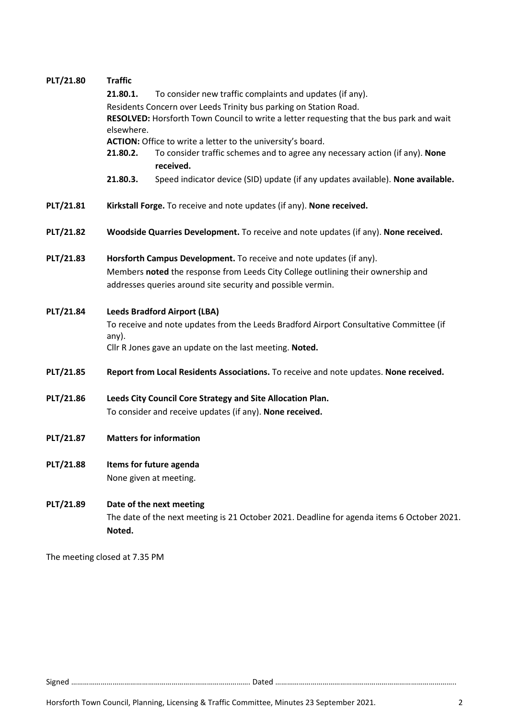| PLT/21.80        | <b>Traffic</b><br>21.80.1.<br>To consider new traffic complaints and updates (if any).<br>Residents Concern over Leeds Trinity bus parking on Station Road.<br>RESOLVED: Horsforth Town Council to write a letter requesting that the bus park and wait<br>elsewhere.<br>ACTION: Office to write a letter to the university's board.<br>To consider traffic schemes and to agree any necessary action (if any). None<br>21.80.2.<br>received. |  |  |  |  |
|------------------|-----------------------------------------------------------------------------------------------------------------------------------------------------------------------------------------------------------------------------------------------------------------------------------------------------------------------------------------------------------------------------------------------------------------------------------------------|--|--|--|--|
|                  | Speed indicator device (SID) update (if any updates available). None available.<br>21.80.3.                                                                                                                                                                                                                                                                                                                                                   |  |  |  |  |
| PLT/21.81        | Kirkstall Forge. To receive and note updates (if any). None received.                                                                                                                                                                                                                                                                                                                                                                         |  |  |  |  |
| <b>PLT/21.82</b> | Woodside Quarries Development. To receive and note updates (if any). None received.                                                                                                                                                                                                                                                                                                                                                           |  |  |  |  |
| PLT/21.83        | Horsforth Campus Development. To receive and note updates (if any).<br>Members noted the response from Leeds City College outlining their ownership and<br>addresses queries around site security and possible vermin.                                                                                                                                                                                                                        |  |  |  |  |
| PLT/21.84        | <b>Leeds Bradford Airport (LBA)</b><br>To receive and note updates from the Leeds Bradford Airport Consultative Committee (if<br>any).<br>Cllr R Jones gave an update on the last meeting. Noted.                                                                                                                                                                                                                                             |  |  |  |  |
| PLT/21.85        | Report from Local Residents Associations. To receive and note updates. None received.                                                                                                                                                                                                                                                                                                                                                         |  |  |  |  |
| PLT/21.86        | Leeds City Council Core Strategy and Site Allocation Plan.<br>To consider and receive updates (if any). None received.                                                                                                                                                                                                                                                                                                                        |  |  |  |  |
| PLT/21.87        | <b>Matters for information</b>                                                                                                                                                                                                                                                                                                                                                                                                                |  |  |  |  |
| <b>PLT/21.88</b> | Items for future agenda<br>None given at meeting.                                                                                                                                                                                                                                                                                                                                                                                             |  |  |  |  |
| PLT/21.89        | Date of the next meeting<br>The date of the next meeting is 21 October 2021. Deadline for agenda items 6 October 2021.<br>Noted.                                                                                                                                                                                                                                                                                                              |  |  |  |  |
|                  | The meeting closed at 7.35 PM                                                                                                                                                                                                                                                                                                                                                                                                                 |  |  |  |  |

Signed ………………………………………………………………………………. Dated ………………………………………………………………………………..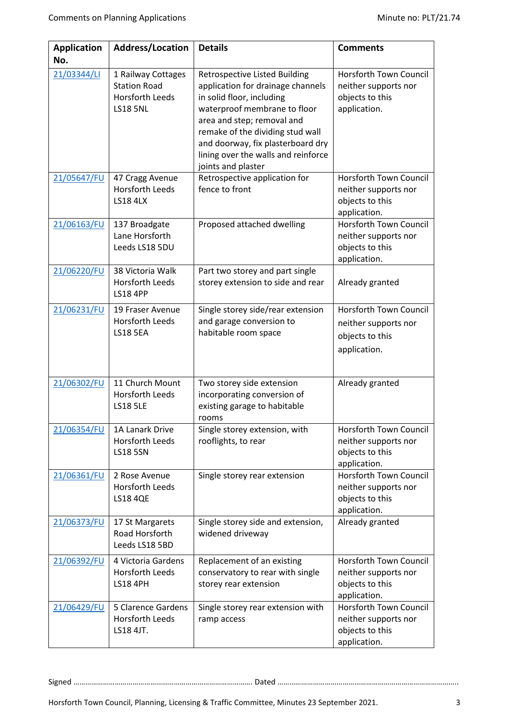| <b>Application</b><br>No. | Address/Location                                                                | <b>Details</b>                                                                                                                                                                                                                                                                                             | <b>Comments</b>                                                                   |
|---------------------------|---------------------------------------------------------------------------------|------------------------------------------------------------------------------------------------------------------------------------------------------------------------------------------------------------------------------------------------------------------------------------------------------------|-----------------------------------------------------------------------------------|
| 21/03344/LI               | 1 Railway Cottages<br><b>Station Road</b><br>Horsforth Leeds<br><b>LS18 5NL</b> | <b>Retrospective Listed Building</b><br>application for drainage channels<br>in solid floor, including<br>waterproof membrane to floor<br>area and step; removal and<br>remake of the dividing stud wall<br>and doorway, fix plasterboard dry<br>lining over the walls and reinforce<br>joints and plaster | Horsforth Town Council<br>neither supports nor<br>objects to this<br>application. |
| 21/05647/FU               | 47 Cragg Avenue<br>Horsforth Leeds<br><b>LS18 4LX</b>                           | Retrospective application for<br>fence to front                                                                                                                                                                                                                                                            | Horsforth Town Council<br>neither supports nor<br>objects to this<br>application. |
| 21/06163/FU               | 137 Broadgate<br>Lane Horsforth<br>Leeds LS18 5DU                               | Proposed attached dwelling                                                                                                                                                                                                                                                                                 | Horsforth Town Council<br>neither supports nor<br>objects to this<br>application. |
| 21/06220/FU               | 38 Victoria Walk<br>Horsforth Leeds<br><b>LS18 4PP</b>                          | Part two storey and part single<br>storey extension to side and rear                                                                                                                                                                                                                                       | Already granted                                                                   |
| 21/06231/FU               | 19 Fraser Avenue<br>Horsforth Leeds<br><b>LS18 5EA</b>                          | Single storey side/rear extension<br>and garage conversion to<br>habitable room space                                                                                                                                                                                                                      | Horsforth Town Council<br>neither supports nor<br>objects to this<br>application. |
| 21/06302/FU               | 11 Church Mount<br>Horsforth Leeds<br><b>LS18 5LE</b>                           | Two storey side extension<br>incorporating conversion of<br>existing garage to habitable<br>rooms                                                                                                                                                                                                          | Already granted                                                                   |
| 21/06354/FU               | 1A Lanark Drive<br>Horsforth Leeds<br><b>LS18 5SN</b>                           | Single storey extension, with<br>rooflights, to rear                                                                                                                                                                                                                                                       | Horsforth Town Council<br>neither supports nor<br>objects to this<br>application. |
| 21/06361/FU               | 2 Rose Avenue<br>Horsforth Leeds<br><b>LS18 4QE</b>                             | Single storey rear extension                                                                                                                                                                                                                                                                               | Horsforth Town Council<br>neither supports nor<br>objects to this<br>application. |
| 21/06373/FU               | 17 St Margarets<br>Road Horsforth<br>Leeds LS18 5BD                             | Single storey side and extension,<br>widened driveway                                                                                                                                                                                                                                                      | Already granted                                                                   |
| 21/06392/FU               | 4 Victoria Gardens<br>Horsforth Leeds<br><b>LS18 4PH</b>                        | Replacement of an existing<br>conservatory to rear with single<br>storey rear extension                                                                                                                                                                                                                    | Horsforth Town Council<br>neither supports nor<br>objects to this<br>application. |
| 21/06429/FU               | 5 Clarence Gardens<br>Horsforth Leeds<br>LS18 4JT.                              | Single storey rear extension with<br>ramp access                                                                                                                                                                                                                                                           | Horsforth Town Council<br>neither supports nor<br>objects to this<br>application. |

Signed ………………………………………………………………………………. Dated ………………………………………………………………………………..

Horsforth Town Council, Planning, Licensing & Traffic Committee, Minutes 23 September 2021. 3